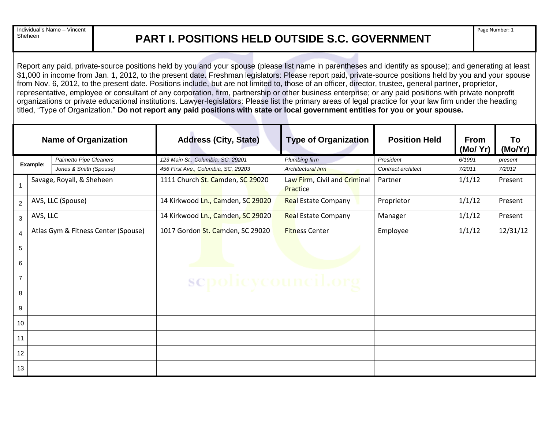Individual's Name – Vincent

## Sheheen **PART I. POSITIONS HELD OUTSIDE S.C. GOVERNMENT**

Report any paid, private-source positions held by you and your spouse (please list name in parentheses and identify as spouse); and generating at least \$1,000 in income from Jan. 1, 2012, to the present date. Freshman legislators: Please report paid, private-source positions held by you and your spouse from Nov. 6, 2012, to the present date. Positions include, but are not limited to, those of an officer, director, trustee, general partner, proprietor, representative, employee or consultant of any corporation, firm, partnership or other business enterprise; or any paid positions with private nonprofit organizations or private educational institutions. Lawyer-legislators: Please list the primary areas of legal practice for your law firm under the heading titled, "Type of Organization." **Do not report any paid positions with state or local government entities for you or your spouse.**

| <b>Name of Organization</b> |          |                                     | <b>Address (City, State)</b>        | <b>Type of Organization</b>              | <b>Position Held</b> | <b>From</b><br>(Mo/ Yr) | To<br>(Mo/Yr) |
|-----------------------------|----------|-------------------------------------|-------------------------------------|------------------------------------------|----------------------|-------------------------|---------------|
| Example:                    |          | Palmetto Pipe Cleaners              | 123 Main St., Columbia, SC, 29201   | Plumbing firm                            | President            | 6/1991                  | present       |
|                             |          | Jones & Smith (Spouse)              | 456 First Ave., Columbia, SC, 29203 | Architectural firm                       | Contract architect   | 7/2011                  | 7/2012        |
|                             |          | Savage, Royall, & Sheheen           | 1111 Church St. Camden, SC 29020    | Law Firm, Civil and Criminal<br>Practice | Partner              | 1/1/12                  | Present       |
| $\overline{2}$              |          | AVS, LLC (Spouse)                   | 14 Kirkwood Ln., Camden, SC 29020   | <b>Real Estate Company</b>               | Proprietor           | 1/1/12                  | Present       |
| 3                           | AVS, LLC |                                     | 14 Kirkwood Ln., Camden, SC 29020   | <b>Real Estate Company</b>               | Manager              | 1/1/12                  | Present       |
| 4                           |          | Atlas Gym & Fitness Center (Spouse) | 1017 Gordon St. Camden, SC 29020    | <b>Fitness Center</b>                    | Employee             | 1/1/12                  | 12/31/12      |
| $\sqrt{5}$                  |          |                                     |                                     |                                          |                      |                         |               |
| 6                           |          |                                     |                                     |                                          |                      |                         |               |
| $\overline{7}$              |          |                                     | 97                                  |                                          |                      |                         |               |
| 8                           |          |                                     |                                     |                                          |                      |                         |               |
| 9                           |          |                                     |                                     |                                          |                      |                         |               |
| 10                          |          |                                     |                                     |                                          |                      |                         |               |
| 11                          |          |                                     |                                     |                                          |                      |                         |               |
| 12                          |          |                                     |                                     |                                          |                      |                         |               |
| 13                          |          |                                     |                                     |                                          |                      |                         |               |